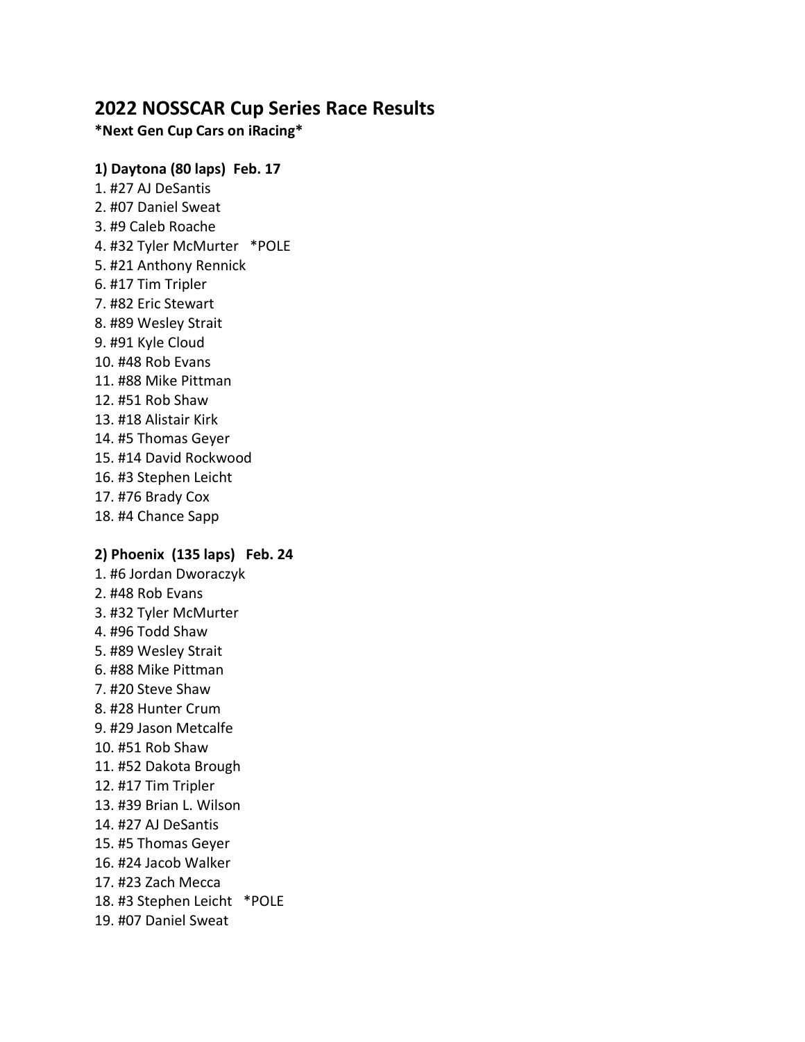# **2022 NOSSCAR Cup Series Race Results**

**\*Next Gen Cup Cars on iRacing\***

## **1) Daytona (80 laps) Feb. 17**

1. #27 AJ DeSantis 2. #07 Daniel Sweat 3. #9 Caleb Roache 4. #32 Tyler McMurter \*POLE 5. #21 Anthony Rennick 6. #17 Tim Tripler 7. #82 Eric Stewart 8. #89 Wesley Strait 9. #91 Kyle Cloud 10. #48 Rob Evans 11. #88 Mike Pittman 12. #51 Rob Shaw 13. #18 Alistair Kirk 14. #5 Thomas Geyer 15. #14 David Rockwood 16. #3 Stephen Leicht 17. #76 Brady Cox 18. #4 Chance Sapp **2) Phoenix (135 laps) Feb. 24** 1. #6 Jordan Dworaczyk 2. #48 Rob Evans 3. #32 Tyler McMurter 4. #96 Todd Shaw 5. #89 Wesley Strait 6. #88 Mike Pittman 7. #20 Steve Shaw 8. #28 Hunter Crum 9. #29 Jason Metcalfe 10. #51 Rob Shaw 11. #52 Dakota Brough 12. #17 Tim Tripler 13. #39 Brian L. Wilson 14. #27 AJ DeSantis 15. #5 Thomas Geyer 16. #24 Jacob Walker 17. #23 Zach Mecca 18. #3 Stephen Leicht \*POLE 19. #07 Daniel Sweat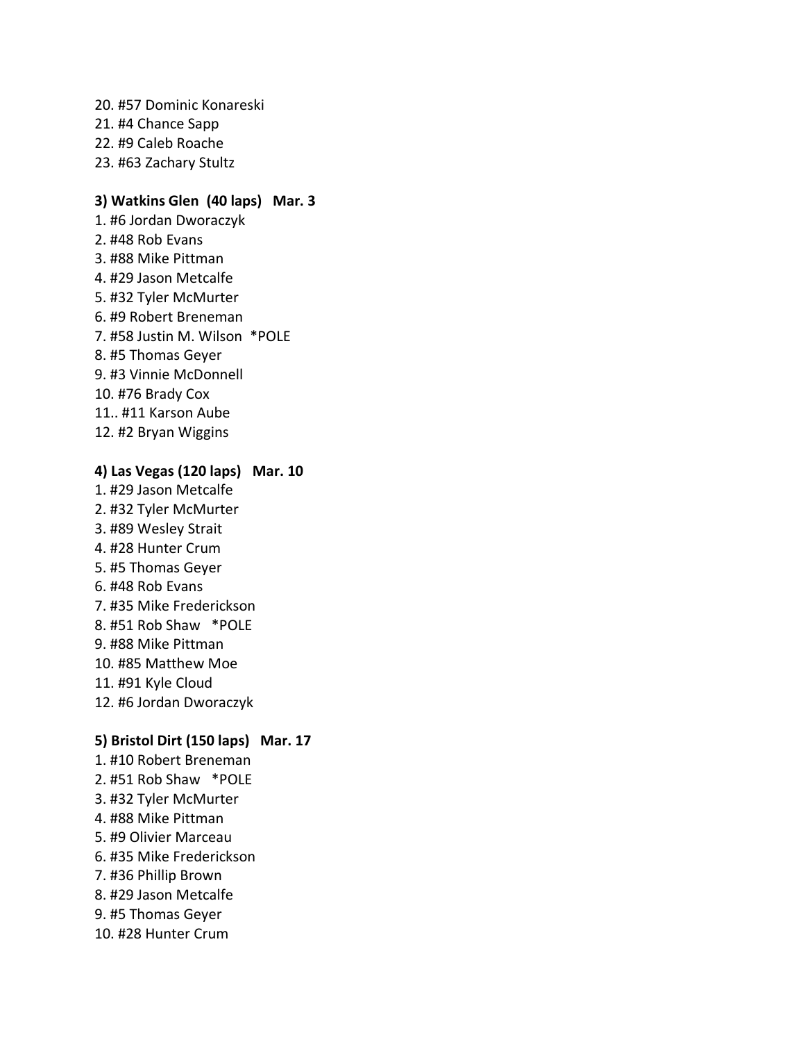20. #57 Dominic Konareski 21. #4 Chance Sapp 22. #9 Caleb Roache 23. #63 Zachary Stultz

#### **3) Watkins Glen (40 laps) Mar. 3**

1. #6 Jordan Dworaczyk 2. #48 Rob Evans 3. #88 Mike Pittman 4. #29 Jason Metcalfe 5. #32 Tyler McMurter 6. #9 Robert Breneman 7. #58 Justin M. Wilson \*POLE 8. #5 Thomas Geyer 9. #3 Vinnie McDonnell 10. #76 Brady Cox 11.. #11 Karson Aube 12. #2 Bryan Wiggins

## **4) Las Vegas (120 laps) Mar. 10**

1. #29 Jason Metcalfe 2. #32 Tyler McMurter 3. #89 Wesley Strait 4. #28 Hunter Crum 5. #5 Thomas Geyer 6. #48 Rob Evans 7. #35 Mike Frederickson 8. #51 Rob Shaw \*POLE 9. #88 Mike Pittman 10. #85 Matthew Moe 11. #91 Kyle Cloud 12. #6 Jordan Dworaczyk

## **5) Bristol Dirt (150 laps) Mar. 17**

1. #10 Robert Breneman 2. #51 Rob Shaw \*POLE 3. #32 Tyler McMurter 4. #88 Mike Pittman 5. #9 Olivier Marceau 6. #35 Mike Frederickson 7. #36 Phillip Brown 8. #29 Jason Metcalfe 9. #5 Thomas Geyer 10. #28 Hunter Crum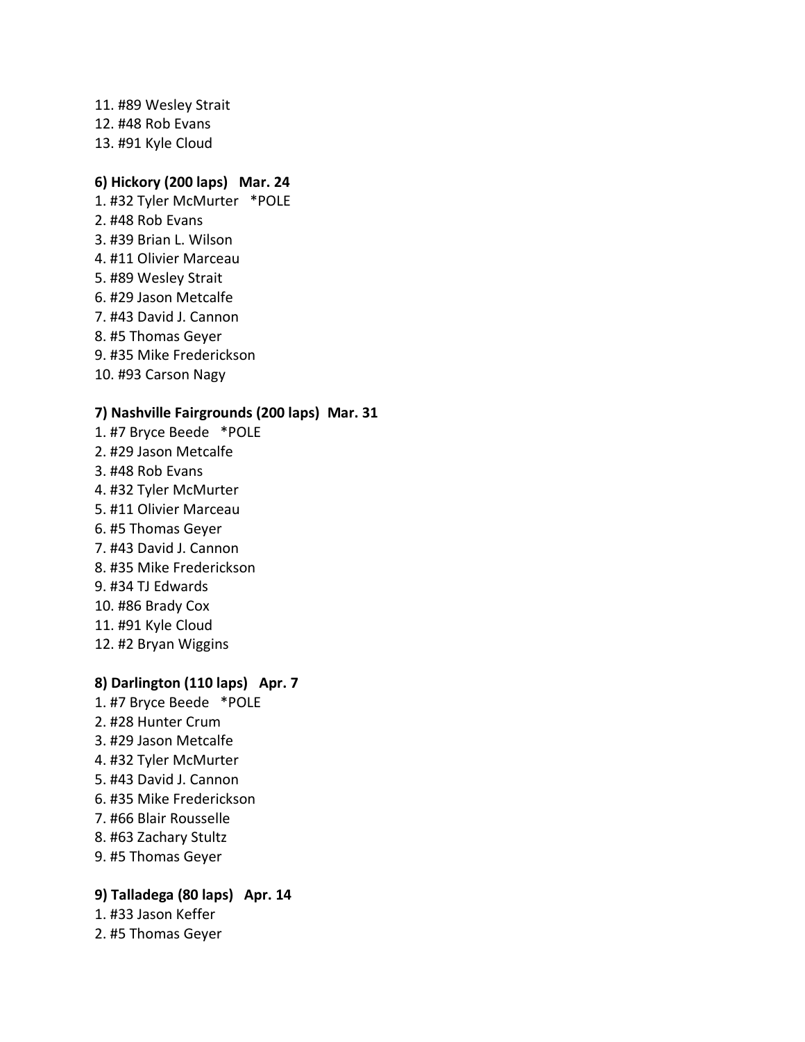11. #89 Wesley Strait 12. #48 Rob Evans 13. #91 Kyle Cloud

## **6) Hickory (200 laps) Mar. 24**

1. #32 Tyler McMurter \*POLE 2. #48 Rob Evans 3. #39 Brian L. Wilson 4. #11 Olivier Marceau 5. #89 Wesley Strait 6. #29 Jason Metcalfe 7. #43 David J. Cannon 8. #5 Thomas Geyer 9. #35 Mike Frederickson 10. #93 Carson Nagy

## **7) Nashville Fairgrounds (200 laps) Mar. 31**

1. #7 Bryce Beede \*POLE 2. #29 Jason Metcalfe 3. #48 Rob Evans 4. #32 Tyler McMurter 5. #11 Olivier Marceau 6. #5 Thomas Geyer 7. #43 David J. Cannon 8. #35 Mike Frederickson 9. #34 TJ Edwards 10. #86 Brady Cox 11. #91 Kyle Cloud 12. #2 Bryan Wiggins

## **8) Darlington (110 laps) Apr. 7**

1. #7 Bryce Beede \*POLE 2. #28 Hunter Crum 3. #29 Jason Metcalfe 4. #32 Tyler McMurter 5. #43 David J. Cannon 6. #35 Mike Frederickson 7. #66 Blair Rousselle 8. #63 Zachary Stultz 9. #5 Thomas Geyer

## **9) Talladega (80 laps) Apr. 14**

1. #33 Jason Keffer

2. #5 Thomas Geyer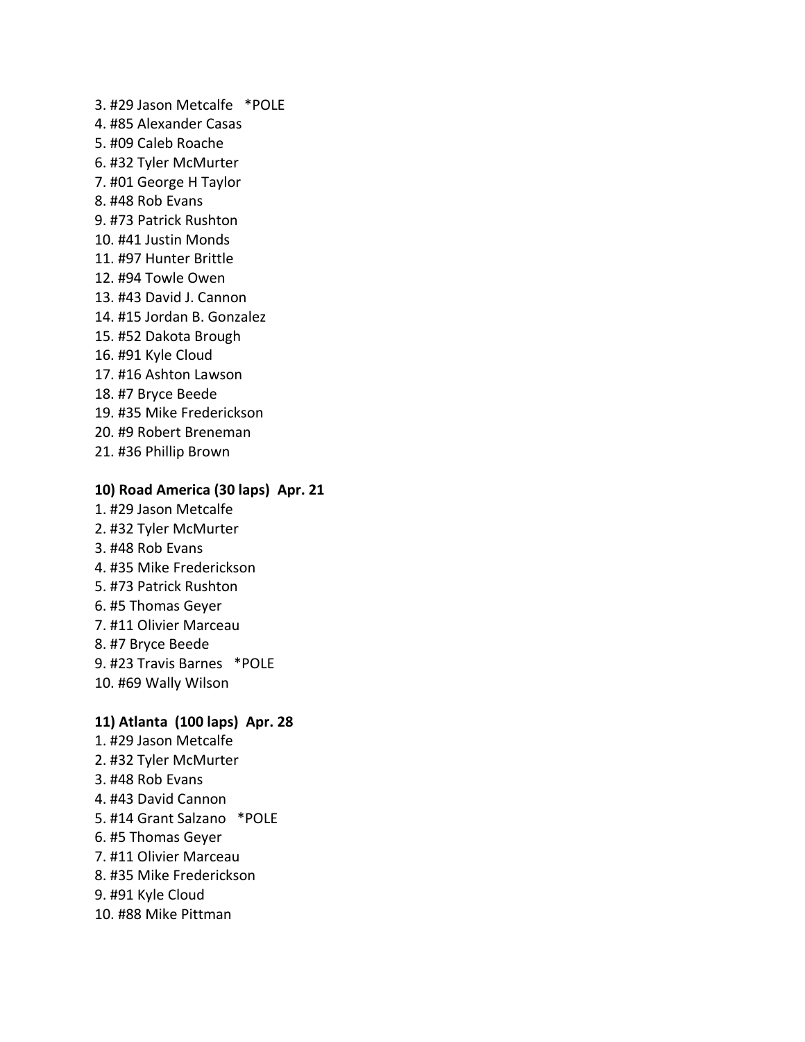3. #29 Jason Metcalfe \*POLE 4. #85 Alexander Casas 5. #09 Caleb Roache 6. #32 Tyler McMurter 7. #01 George H Taylor 8. #48 Rob Evans 9. #73 Patrick Rushton 10. #41 Justin Monds 11. #97 Hunter Brittle 12. #94 Towle Owen 13. #43 David J. Cannon 14. #15 Jordan B. Gonzalez 15. #52 Dakota Brough 16. #91 Kyle Cloud 17. #16 Ashton Lawson 18. #7 Bryce Beede 19. #35 Mike Frederickson 20. #9 Robert Breneman 21. #36 Phillip Brown

#### **10) Road America (30 laps) Apr. 21**

1. #29 Jason Metcalfe 2. #32 Tyler McMurter 3. #48 Rob Evans 4. #35 Mike Frederickson 5. #73 Patrick Rushton 6. #5 Thomas Geyer 7. #11 Olivier Marceau 8. #7 Bryce Beede 9. #23 Travis Barnes \*POLE 10. #69 Wally Wilson

#### **11) Atlanta (100 laps) Apr. 28**

1. #29 Jason Metcalfe 2. #32 Tyler McMurter 3. #48 Rob Evans 4. #43 David Cannon 5. #14 Grant Salzano \*POLE 6. #5 Thomas Geyer 7. #11 Olivier Marceau 8. #35 Mike Frederickson 9. #91 Kyle Cloud 10. #88 Mike Pittman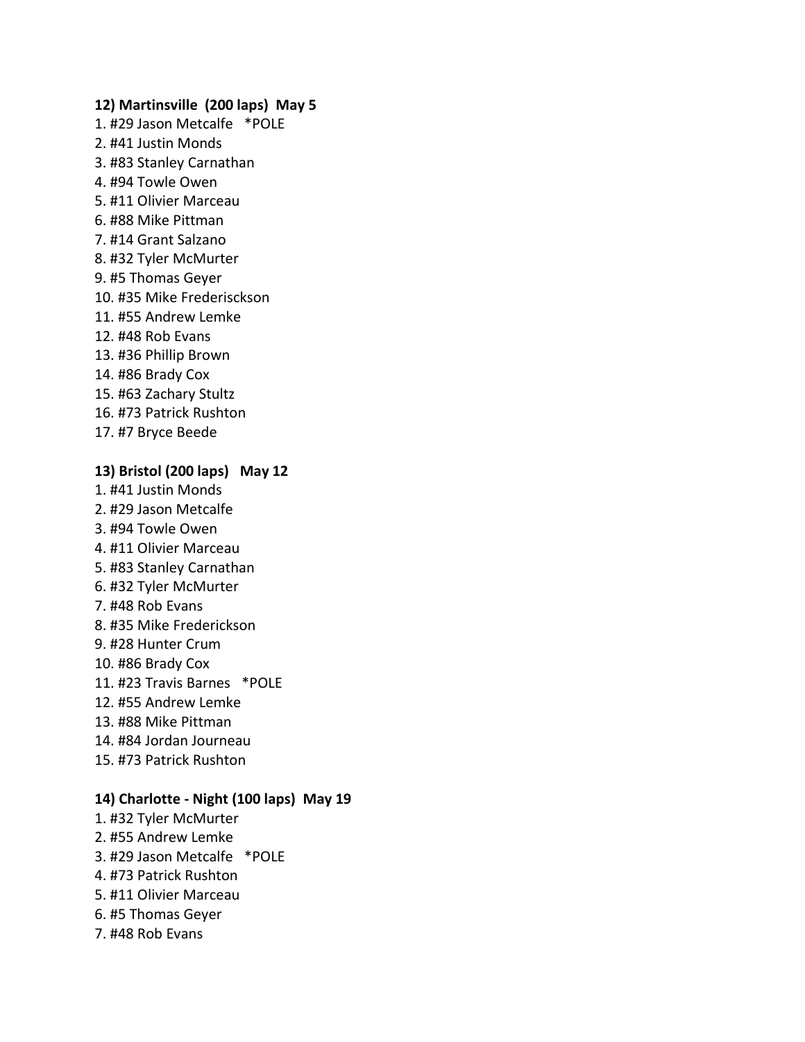#### **12) Martinsville (200 laps) May 5**

- 1. #29 Jason Metcalfe \*POLE
- 2. #41 Justin Monds
- 3. #83 Stanley Carnathan
- 4. #94 Towle Owen
- 5. #11 Olivier Marceau
- 6. #88 Mike Pittman
- 7. #14 Grant Salzano
- 8. #32 Tyler McMurter
- 9. #5 Thomas Geyer
- 10. #35 Mike Frederisckson
- 11. #55 Andrew Lemke
- 12. #48 Rob Evans
- 13. #36 Phillip Brown
- 14. #86 Brady Cox
- 15. #63 Zachary Stultz
- 16. #73 Patrick Rushton
- 17. #7 Bryce Beede

## **13) Bristol (200 laps) May 12**

1. #41 Justin Monds 2. #29 Jason Metcalfe 3. #94 Towle Owen 4. #11 Olivier Marceau 5. #83 Stanley Carnathan 6. #32 Tyler McMurter 7. #48 Rob Evans 8. #35 Mike Frederickson 9. #28 Hunter Crum 10. #86 Brady Cox 11. #23 Travis Barnes \*POLE 12. #55 Andrew Lemke 13. #88 Mike Pittman 14. #84 Jordan Journeau 15. #73 Patrick Rushton

## **14) Charlotte - Night (100 laps) May 19**

- 1. #32 Tyler McMurter 2. #55 Andrew Lemke 3. #29 Jason Metcalfe \*POLE 4. #73 Patrick Rushton 5. #11 Olivier Marceau 6. #5 Thomas Geyer
- 7. #48 Rob Evans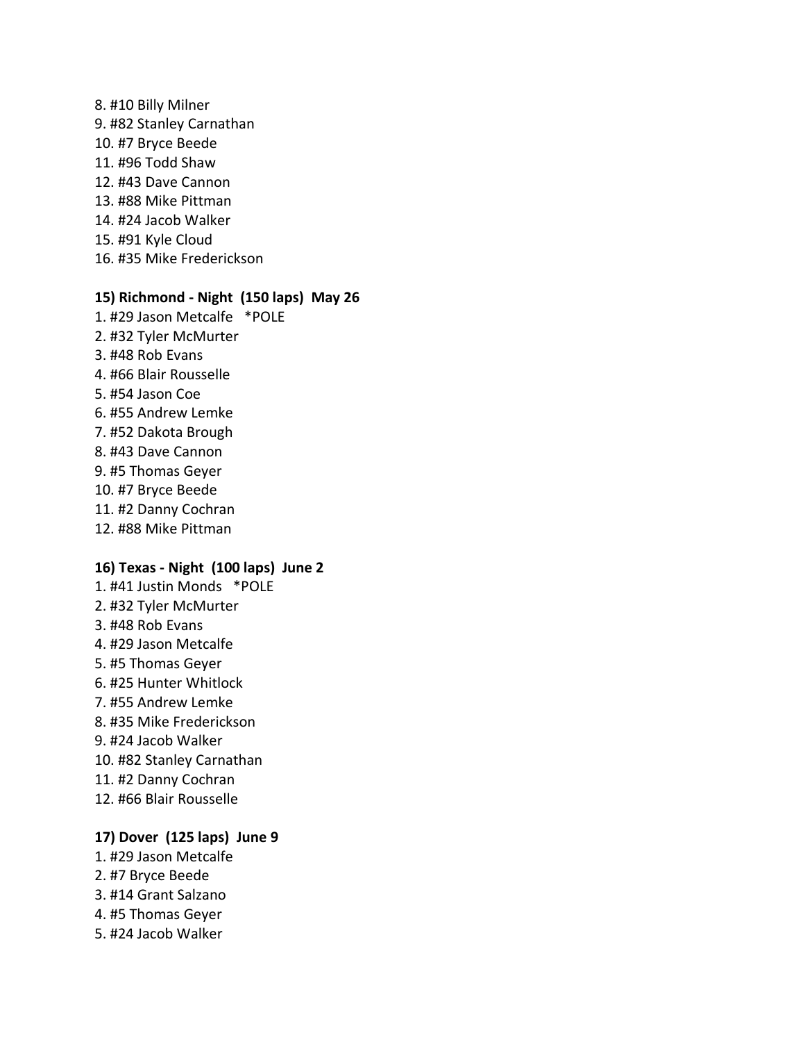8. #10 Billy Milner 9. #82 Stanley Carnathan 10. #7 Bryce Beede 11. #96 Todd Shaw 12. #43 Dave Cannon 13. #88 Mike Pittman 14. #24 Jacob Walker 15. #91 Kyle Cloud 16. #35 Mike Frederickson

## **15) Richmond - Night (150 laps) May 26**

- 1. #29 Jason Metcalfe \*POLE 2. #32 Tyler McMurter 3. #48 Rob Evans 4. #66 Blair Rousselle 5. #54 Jason Coe 6. #55 Andrew Lemke 7. #52 Dakota Brough 8. #43 Dave Cannon 9. #5 Thomas Geyer 10. #7 Bryce Beede 11. #2 Danny Cochran
- 12. #88 Mike Pittman

## **16) Texas - Night (100 laps) June 2**

1. #41 Justin Monds \*POLE 2. #32 Tyler McMurter 3. #48 Rob Evans 4. #29 Jason Metcalfe 5. #5 Thomas Geyer 6. #25 Hunter Whitlock 7. #55 Andrew Lemke 8. #35 Mike Frederickson 9. #24 Jacob Walker 10. #82 Stanley Carnathan 11. #2 Danny Cochran 12. #66 Blair Rousselle

#### **17) Dover (125 laps) June 9**

1. #29 Jason Metcalfe 2. #7 Bryce Beede 3. #14 Grant Salzano 4. #5 Thomas Geyer 5. #24 Jacob Walker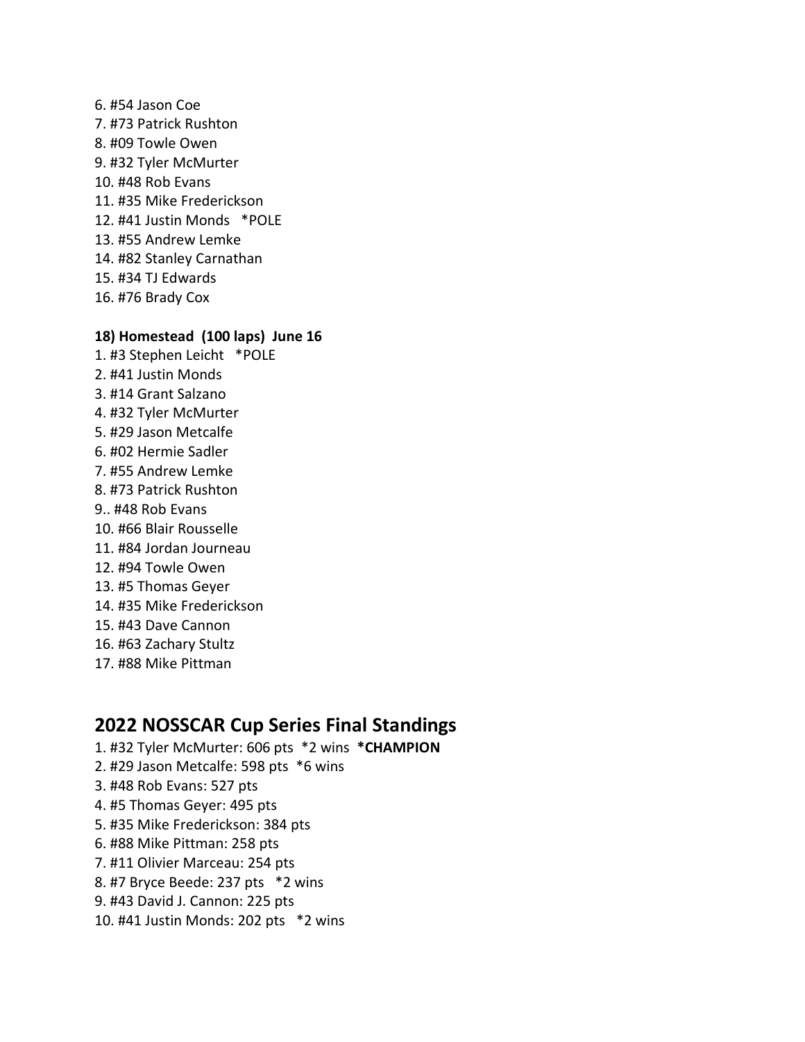6. #54 Jason Coe 7. #73 Patrick Rushton 8. #09 Towle Owen 9. #32 Tyler McMurter 10. #48 Rob Evans 11. #35 Mike Frederickson 12. #41 Justin Monds \*POLE 13. #55 Andrew Lemke 14. #82 Stanley Carnathan 15. #34 TJ Edwards 16. #76 Brady Cox 1. #3 Stephen Leicht \*POLE 2. #41 Justin Monds 3. #14 Grant Salzano 4. #32 Tyler McMurter 5. #29 Jason Metcalfe 6. #02 Hermie Sadler

## **18) Homestead (100 laps) June 16**

7. #55 Andrew Lemke 8. #73 Patrick Rushton 9.. #48 Rob Evans 10. #66 Blair Rousselle 11. #84 Jordan Journeau 12. #94 Towle Owen 13. #5 Thomas Geyer 14. #35 Mike Frederickson 15. #43 Dave Cannon 16. #63 Zachary Stultz 17. #88 Mike Pittman

# **2022 NOSSCAR Cup Series Final Standings**

1. #32 Tyler McMurter: 606 pts \*2 wins **\*CHAMPION** 2. #29 Jason Metcalfe: 598 pts \*6 wins 3. #48 Rob Evans: 527 pts 4. #5 Thomas Geyer: 495 pts 5. #35 Mike Frederickson: 384 pts 6. #88 Mike Pittman: 258 pts 7. #11 Olivier Marceau: 254 pts 8. #7 Bryce Beede: 237 pts \*2 wins 9. #43 David J. Cannon: 225 pts 10. #41 Justin Monds: 202 pts \*2 wins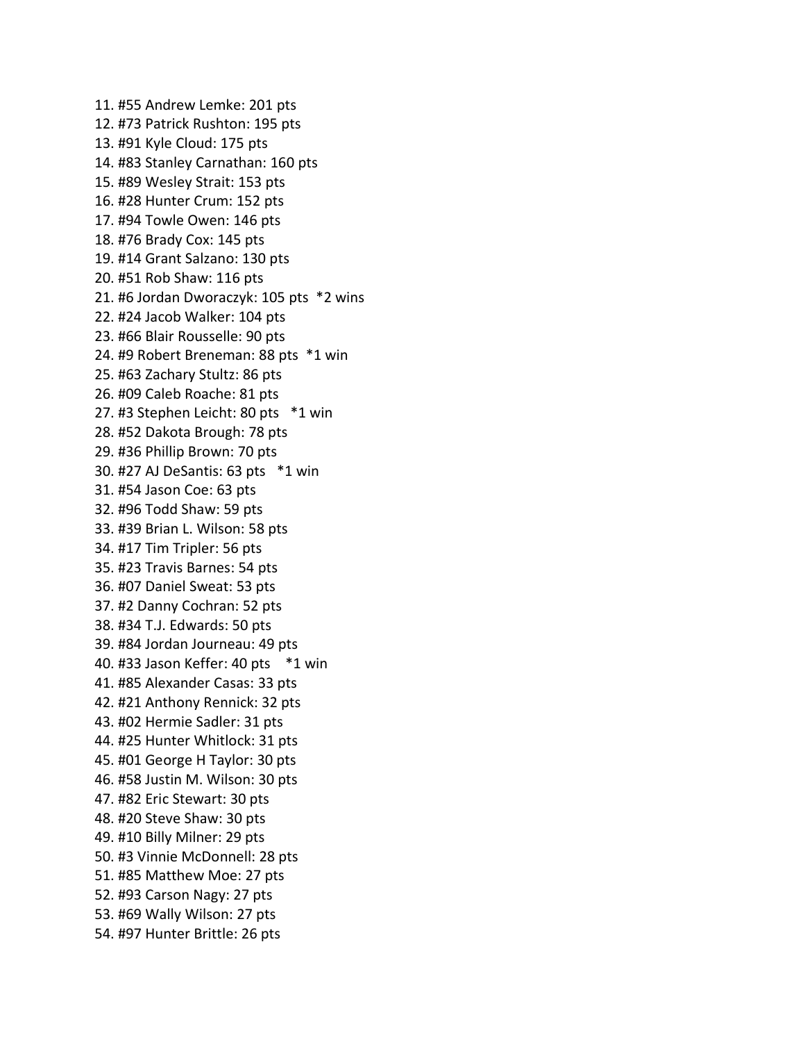11. #55 Andrew Lemke: 201 pts 12. #73 Patrick Rushton: 195 pts 13. #91 Kyle Cloud: 175 pts 14. #83 Stanley Carnathan: 160 pts 15. #89 Wesley Strait: 153 pts 16. #28 Hunter Crum: 152 pts 17. #94 Towle Owen: 146 pts 18. #76 Brady Cox: 145 pts 19. #14 Grant Salzano: 130 pts 20. #51 Rob Shaw: 116 pts 21. #6 Jordan Dworaczyk: 105 pts \*2 wins 22. #24 Jacob Walker: 104 pts 23. #66 Blair Rousselle: 90 pts 24. #9 Robert Breneman: 88 pts \*1 win 25. #63 Zachary Stultz: 86 pts 26. #09 Caleb Roache: 81 pts 27. #3 Stephen Leicht: 80 pts \*1 win 28. #52 Dakota Brough: 78 pts 29. #36 Phillip Brown: 70 pts 30. #27 AJ DeSantis: 63 pts \*1 win 31. #54 Jason Coe: 63 pts 32. #96 Todd Shaw: 59 pts 33. #39 Brian L. Wilson: 58 pts 34. #17 Tim Tripler: 56 pts 35. #23 Travis Barnes: 54 pts 36. #07 Daniel Sweat: 53 pts 37. #2 Danny Cochran: 52 pts 38. #34 T.J. Edwards: 50 pts 39. #84 Jordan Journeau: 49 pts 40. #33 Jason Keffer: 40 pts \*1 win 41. #85 Alexander Casas: 33 pts 42. #21 Anthony Rennick: 32 pts 43. #02 Hermie Sadler: 31 pts 44. #25 Hunter Whitlock: 31 pts 45. #01 George H Taylor: 30 pts 46. #58 Justin M. Wilson: 30 pts 47. #82 Eric Stewart: 30 pts 48. #20 Steve Shaw: 30 pts 49. #10 Billy Milner: 29 pts 50. #3 Vinnie McDonnell: 28 pts 51. #85 Matthew Moe: 27 pts 52. #93 Carson Nagy: 27 pts 53. #69 Wally Wilson: 27 pts 54. #97 Hunter Brittle: 26 pts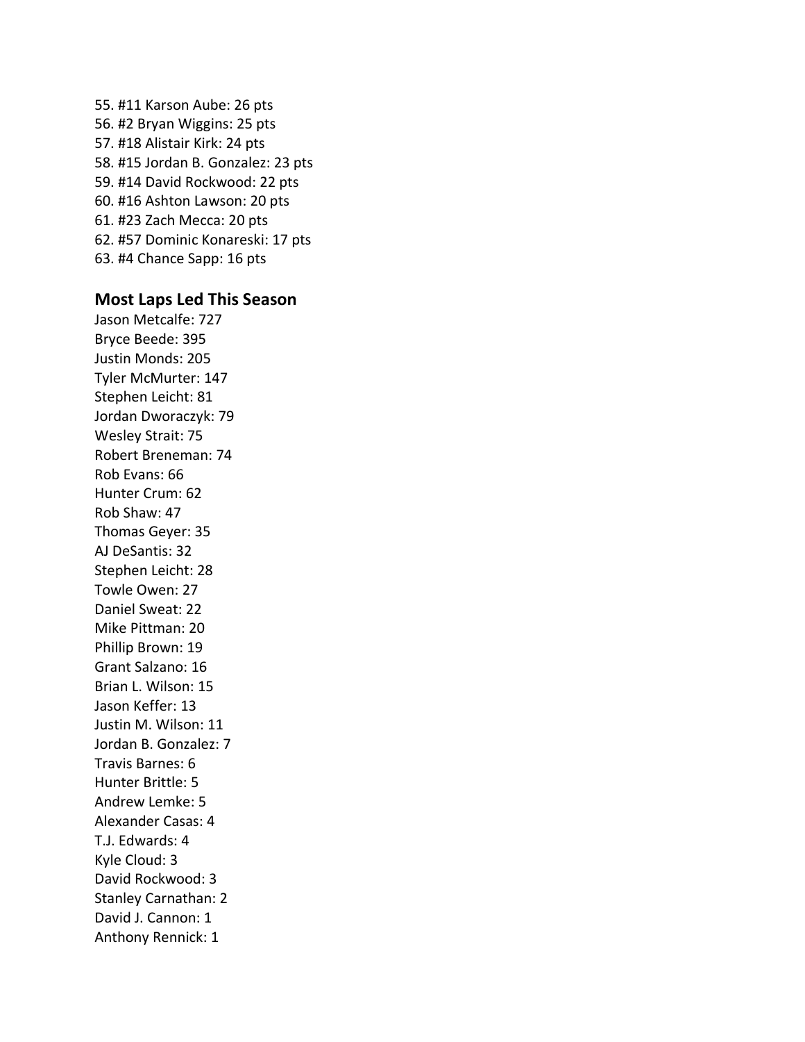55. #11 Karson Aube: 26 pts 56. #2 Bryan Wiggins: 25 pts 57. #18 Alistair Kirk: 24 pts 58. #15 Jordan B. Gonzalez: 23 pts 59. #14 David Rockwood: 22 pts 60. #16 Ashton Lawson: 20 pts 61. #23 Zach Mecca: 20 pts 62. #57 Dominic Konareski: 17 pts 63. #4 Chance Sapp: 16 pts

## **Most Laps Led This Season**

Jason Metcalfe: 727 Bryce Beede: 395 Justin Monds: 205 Tyler McMurter: 147 Stephen Leicht: 81 Jordan Dworaczyk: 79 Wesley Strait: 75 Robert Breneman: 74 Rob Evans: 66 Hunter Crum: 62 Rob Shaw: 47 Thomas Geyer: 35 AJ DeSantis: 32 Stephen Leicht: 28 Towle Owen: 27 Daniel Sweat: 22 Mike Pittman: 20 Phillip Brown: 19 Grant Salzano: 16 Brian L. Wilson: 15 Jason Keffer: 13 Justin M. Wilson: 11 Jordan B. Gonzalez: 7 Travis Barnes: 6 Hunter Brittle: 5 Andrew Lemke: 5 Alexander Casas: 4 T.J. Edwards: 4 Kyle Cloud: 3 David Rockwood: 3 Stanley Carnathan: 2 David J. Cannon: 1 Anthony Rennick: 1